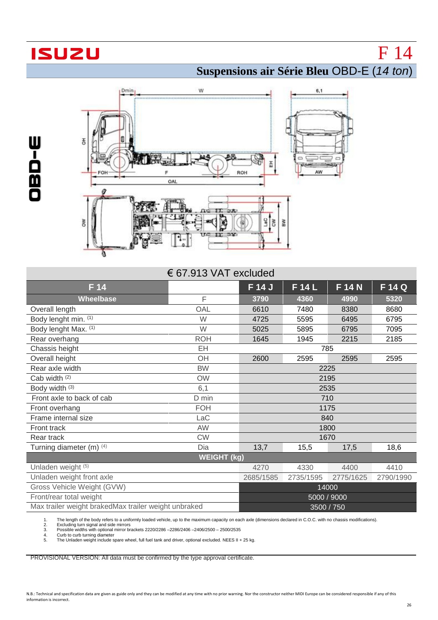## **ISUZU**

 $\mathbf{I}$ W

## **Suspensions air Série Bleu** OBD-E (*14 ton*)

F 14



| <b>PERSONAL PROPERTY DESCRIPTION</b><br>FOH                                                                                                                                                                                                                                                                                                                                                                                                                                         | F<br>OAL           | ৩য়।<br>풉<br>ROH | AW          |           |           |  |  |
|-------------------------------------------------------------------------------------------------------------------------------------------------------------------------------------------------------------------------------------------------------------------------------------------------------------------------------------------------------------------------------------------------------------------------------------------------------------------------------------|--------------------|------------------|-------------|-----------|-----------|--|--|
| D.R.<br>δW<br>$rac{1}{20}$<br>孟<br>11, 010<br>U.C.                                                                                                                                                                                                                                                                                                                                                                                                                                  |                    |                  |             |           |           |  |  |
| € 67.913 VAT excluded                                                                                                                                                                                                                                                                                                                                                                                                                                                               |                    |                  |             |           |           |  |  |
| F 14                                                                                                                                                                                                                                                                                                                                                                                                                                                                                |                    | F 14 J           | F 14 L      | F 14 N    | F 14 Q    |  |  |
| <b>Wheelbase</b>                                                                                                                                                                                                                                                                                                                                                                                                                                                                    | F                  | 3790             | 4360        | 4990      | 5320      |  |  |
| Overall length                                                                                                                                                                                                                                                                                                                                                                                                                                                                      | OAL                | 6610             | 7480        | 8380      | 8680      |  |  |
| Body lenght min. (1)                                                                                                                                                                                                                                                                                                                                                                                                                                                                | W                  | 4725             | 5595        | 6495      | 6795      |  |  |
| Body lenght Max. (1)                                                                                                                                                                                                                                                                                                                                                                                                                                                                | W                  | 5025             | 5895        | 6795      | 7095      |  |  |
| Rear overhang                                                                                                                                                                                                                                                                                                                                                                                                                                                                       | <b>ROH</b>         | 1645             | 1945        | 2215      | 2185      |  |  |
| Chassis height                                                                                                                                                                                                                                                                                                                                                                                                                                                                      | EH                 |                  | 785         |           |           |  |  |
| Overall height                                                                                                                                                                                                                                                                                                                                                                                                                                                                      | OH                 | 2600             | 2595        | 2595      | 2595      |  |  |
| Rear axle width                                                                                                                                                                                                                                                                                                                                                                                                                                                                     | <b>BW</b>          | 2225             |             |           |           |  |  |
| Cab width (2)                                                                                                                                                                                                                                                                                                                                                                                                                                                                       | <b>OW</b>          | 2195             |             |           |           |  |  |
| Body width (3)                                                                                                                                                                                                                                                                                                                                                                                                                                                                      | 6,1                | 2535             |             |           |           |  |  |
| Front axle to back of cab                                                                                                                                                                                                                                                                                                                                                                                                                                                           | D min              | 710              |             |           |           |  |  |
| Front overhang                                                                                                                                                                                                                                                                                                                                                                                                                                                                      | <b>FOH</b>         | 1175             |             |           |           |  |  |
| Frame internal size                                                                                                                                                                                                                                                                                                                                                                                                                                                                 | LaC                | 840              |             |           |           |  |  |
| Front track                                                                                                                                                                                                                                                                                                                                                                                                                                                                         | AW                 | 1800             |             |           |           |  |  |
| Rear track                                                                                                                                                                                                                                                                                                                                                                                                                                                                          | <b>CW</b>          |                  | 1670        |           |           |  |  |
| Turning diameter (m) (4)                                                                                                                                                                                                                                                                                                                                                                                                                                                            | Dia                | 13,7             | 15,5        | 17,5      | 18,6      |  |  |
|                                                                                                                                                                                                                                                                                                                                                                                                                                                                                     | <b>WEIGHT (kg)</b> |                  |             |           |           |  |  |
| Unladen weight (5)                                                                                                                                                                                                                                                                                                                                                                                                                                                                  |                    | 4270             | 4330        | 4400      | 4410      |  |  |
| Unladen weight front axle                                                                                                                                                                                                                                                                                                                                                                                                                                                           |                    | 2685/1585        | 2735/1595   | 2775/1625 | 2790/1990 |  |  |
| Gross Vehicle Weight (GVW)                                                                                                                                                                                                                                                                                                                                                                                                                                                          |                    | 14000            |             |           |           |  |  |
| Front/rear total weight                                                                                                                                                                                                                                                                                                                                                                                                                                                             |                    |                  | 5000 / 9000 |           |           |  |  |
| Max trailer weight brakedMax trailer weight unbraked<br>3500 / 750                                                                                                                                                                                                                                                                                                                                                                                                                  |                    |                  |             |           |           |  |  |
| The length of the body refers to a uniformly loaded vehicle, up to the maximum capacity on each axle (dimensions declared in C.O.C. with no chassis modifications).<br>1.<br>2.<br>Excluding turn signal and side mirrors<br>3.<br>Possible widths with optional mirror brackets 2220/2286 -2286/2406 -2406/2500 - 2500/2535<br>Curb to curb turning diameter<br>4.<br>5.<br>The Unladen weight include spare wheel, full fuel tank and driver, optional excluded. NEES II + 25 kg. |                    |                  |             |           |           |  |  |
| PROVISIONAL VERSION: All data must be confirmed by the type approval certificate.                                                                                                                                                                                                                                                                                                                                                                                                   |                    |                  |             |           |           |  |  |